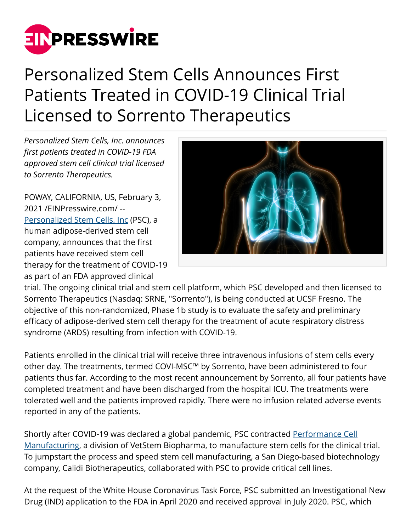

## Personalized Stem Cells Announces First Patients Treated in COVID-19 Clinical Trial Licensed to Sorrento Therapeutics

*Personalized Stem Cells, Inc. announces first patients treated in COVID-19 FDA approved stem cell clinical trial licensed to Sorrento Therapeutics.*

POWAY, CALIFORNIA, US, February 3, 2021 /[EINPresswire.com](http://www.einpresswire.com)/ -- [Personalized Stem Cells, Inc](https://personalizedstemcells.com/) (PSC), a human adipose-derived stem cell company, announces that the first patients have received stem cell therapy for the treatment of COVID-19 as part of an FDA approved clinical



trial. The ongoing clinical trial and stem cell platform, which PSC developed and then licensed to Sorrento Therapeutics (Nasdaq: SRNE, "Sorrento"), is being conducted at UCSF Fresno. The objective of this non-randomized, Phase 1b study is to evaluate the safety and preliminary efficacy of adipose-derived stem cell therapy for the treatment of acute respiratory distress syndrome (ARDS) resulting from infection with COVID-19.

Patients enrolled in the clinical trial will receive three intravenous infusions of stem cells every other day. The treatments, termed COVI-MSC™ by Sorrento, have been administered to four patients thus far. According to the most recent announcement by Sorrento, all four patients have completed treatment and have been discharged from the hospital ICU. The treatments were tolerated well and the patients improved rapidly. There were no infusion related adverse events reported in any of the patients.

Shortly after COVID-19 was declared a global pandemic, PSC contracted [Performance Cell](https://performancecell.com/) [Manufacturing](https://performancecell.com/), a division of VetStem Biopharma, to manufacture stem cells for the clinical trial. To jumpstart the process and speed stem cell manufacturing, a San Diego-based biotechnology company, Calidi Biotherapeutics, collaborated with PSC to provide critical cell lines.

At the request of the White House Coronavirus Task Force, PSC submitted an Investigational New Drug (IND) application to the FDA in April 2020 and received approval in July 2020. PSC, which